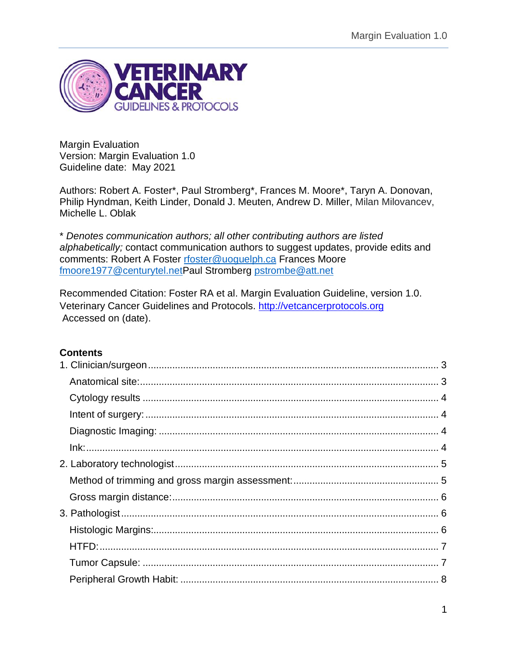

Margin Evaluation Version: Margin Evaluation 1.0 Guideline date: May 2021

Authors: Robert A. Foster\*, Paul Stromberg\*, Frances M. Moore\*, Taryn A. Donovan, Philip Hyndman, Keith Linder, Donald J. Meuten, Andrew D. Miller, Milan Milovancev, Michelle L. Oblak

\* *Denotes communication authors; all other contributing authors are listed alphabetically;* contact communication authors to suggest updates, provide edits and comments: Robert A Foster [rfoster@uoguelph.ca](mailto:rfoster@uoguelph.ca) Frances Moore [fmoore1977@centurytel.netP](mailto:fmoore1977@centurytel.net)aul Stromberg [pstrombe@att.net](mailto:pstrombe@att.net)

Recommended Citation: Foster RA et al. Margin Evaluation Guideline, version 1.0. Veterinary Cancer Guidelines and Protocols. [http://vetcancerprotocols.org](http://vetcancerprotocols.org/) Accessed on (date).

## **Contents**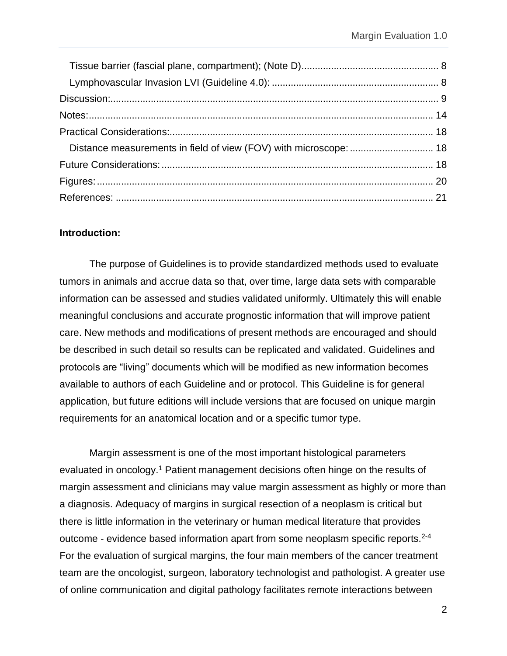| Distance measurements in field of view (FOV) with microscope:  18 |  |
|-------------------------------------------------------------------|--|
|                                                                   |  |
|                                                                   |  |
|                                                                   |  |

### **Introduction:**

The purpose of Guidelines is to provide standardized methods used to evaluate tumors in animals and accrue data so that, over time, large data sets with comparable information can be assessed and studies validated uniformly. Ultimately this will enable meaningful conclusions and accurate prognostic information that will improve patient care. New methods and modifications of present methods are encouraged and should be described in such detail so results can be replicated and validated. Guidelines and protocols are "living" documents which will be modified as new information becomes available to authors of each Guideline and or protocol. This Guideline is for general application, but future editions will include versions that are focused on unique margin requirements for an anatomical location and or a specific tumor type.

Margin assessment is one of the most important histological parameters evaluated in oncology.<sup>1</sup> Patient management decisions often hinge on the results of margin assessment and clinicians may value margin assessment as highly or more than a diagnosis. Adequacy of margins in surgical resection of a neoplasm is critical but there is little information in the veterinary or human medical literature that provides outcome - evidence based information apart from some neoplasm specific reports.<sup>2-4</sup> For the evaluation of surgical margins, the four main members of the cancer treatment team are the oncologist, surgeon, laboratory technologist and pathologist. A greater use of online communication and digital pathology facilitates remote interactions between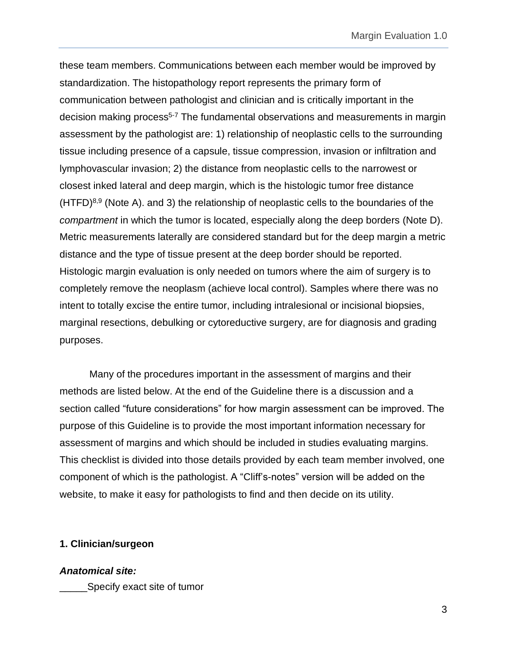these team members. Communications between each member would be improved by standardization. The histopathology report represents the primary form of communication between pathologist and clinician and is critically important in the decision making process<sup>5-7</sup> The fundamental observations and measurements in margin assessment by the pathologist are: 1) relationship of neoplastic cells to the surrounding tissue including presence of a capsule, tissue compression, invasion or infiltration and lymphovascular invasion; 2) the distance from neoplastic cells to the narrowest or closest inked lateral and deep margin, which is the histologic tumor free distance  $(HTFD)^{8,9}$  (Note A), and 3) the relationship of neoplastic cells to the boundaries of the *compartment* in which the tumor is located, especially along the deep borders (Note D). Metric measurements laterally are considered standard but for the deep margin a metric distance and the type of tissue present at the deep border should be reported. Histologic margin evaluation is only needed on tumors where the aim of surgery is to completely remove the neoplasm (achieve local control). Samples where there was no intent to totally excise the entire tumor, including intralesional or incisional biopsies, marginal resections, debulking or cytoreductive surgery, are for diagnosis and grading purposes.

Many of the procedures important in the assessment of margins and their methods are listed below. At the end of the Guideline there is a discussion and a section called "future considerations" for how margin assessment can be improved. The purpose of this Guideline is to provide the most important information necessary for assessment of margins and which should be included in studies evaluating margins. This checklist is divided into those details provided by each team member involved, one component of which is the pathologist. A "Cliff's-notes" version will be added on the website, to make it easy for pathologists to find and then decide on its utility.

#### <span id="page-2-0"></span>**1. Clinician/surgeon**

<span id="page-2-1"></span>*Anatomical site:*  Specify exact site of tumor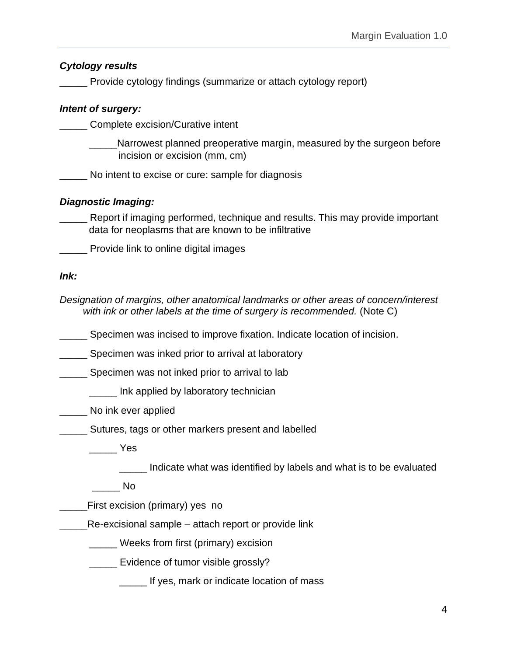<span id="page-3-3"></span><span id="page-3-2"></span><span id="page-3-1"></span><span id="page-3-0"></span>*Cytology results* Provide cytology findings (summarize or attach cytology report) *Intent of surgery:* \_\_\_\_\_ Complete excision/Curative intent Narrowest planned preoperative margin, measured by the surgeon before incision or excision (mm, cm) No intent to excise or cure: sample for diagnosis *Diagnostic Imaging:* Report if imaging performed, technique and results. This may provide important data for neoplasms that are known to be infiltrative Provide link to online digital images *Ink: Designation of margins, other anatomical landmarks or other areas of concern/interest with ink or other labels at the time of surgery is recommended.* (Note C) **\_\_\_\_\_** Specimen was incised to improve fixation. Indicate location of incision. **EXECO SPECIMED WAS INKED PRIOR TO A SPECIMENT SPECIES Specimen was not inked prior to arrival to lab \_\_\_\_\_** Ink applied by laboratory technician No ink ever applied \_\_\_\_\_ Sutures, tags or other markers present and labelled  $\rule{1em}{0.15mm}$  Yes \_\_\_\_\_ Indicate what was identified by labels and what is to be evaluated  $\rule{1em}{0.15mm}$  No \_\_\_\_\_First excision (primary) yes no Re-excisional sample – attach report or provide link \_\_\_\_\_ Weeks from first (primary) excision **Evidence of tumor visible grossly? \_\_\_\_\_ If yes, mark or indicate location of mass**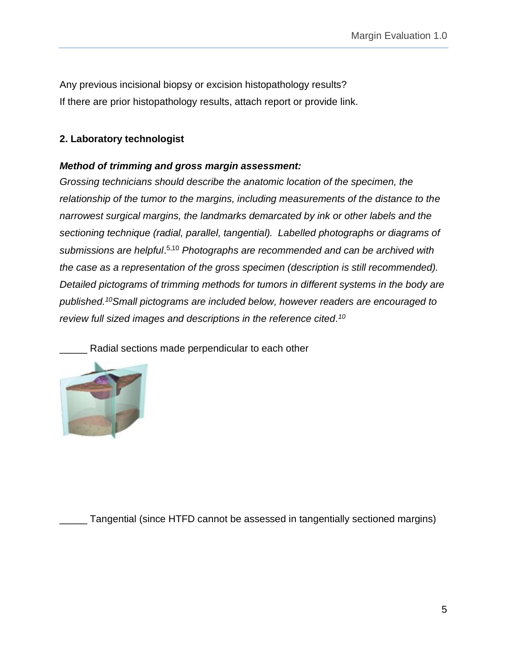Any previous incisional biopsy or excision histopathology results? If there are prior histopathology results, attach report or provide link.

## <span id="page-4-0"></span>**2. Laboratory technologist**

### <span id="page-4-1"></span>*Method of trimming and gross margin assessment:*

*Grossing technicians should describe the anatomic location of the specimen, the relationship of the tumor to the margins, including measurements of the distance to the narrowest surgical margins, the landmarks demarcated by ink or other labels and the sectioning technique (radial, parallel, tangential). Labelled photographs or diagrams of submissions are helpful*. 5,10 *Photographs are recommended and can be archived with the case as a representation of the gross specimen (description is still recommended). Detailed pictograms of trimming methods for tumors in different systems in the body are published.<sup>10</sup>Small pictograms are included below, however readers are encouraged to review full sized images and descriptions in the reference cited. 10*

Radial sections made perpendicular to each other



Tangential (since HTFD cannot be assessed in tangentially sectioned margins)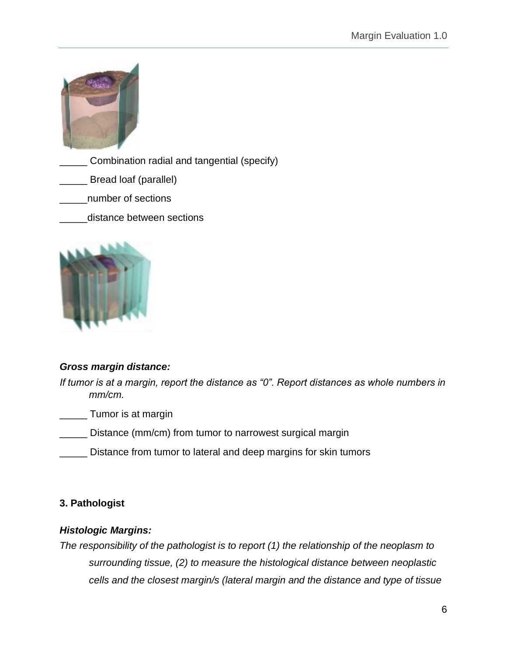

Combination radial and tangential (specify)

- Bread loaf (parallel)
- \_\_\_\_\_number of sections
- distance between sections



## <span id="page-5-0"></span>*Gross margin distance:*

*If tumor is at a margin, report the distance as "0". Report distances as whole numbers in mm/cm.*

\_\_\_\_\_ Tumor is at margin

- \_\_\_\_\_ Distance (mm/cm) from tumor to narrowest surgical margin
- Distance from tumor to lateral and deep margins for skin tumors

## <span id="page-5-1"></span>**3. Pathologist**

## <span id="page-5-2"></span>*Histologic Margins:*

*The responsibility of the pathologist is to report (1) the relationship of the neoplasm to surrounding tissue, (2) to measure the histological distance between neoplastic cells and the closest margin/s (lateral margin and the distance and type of tissue*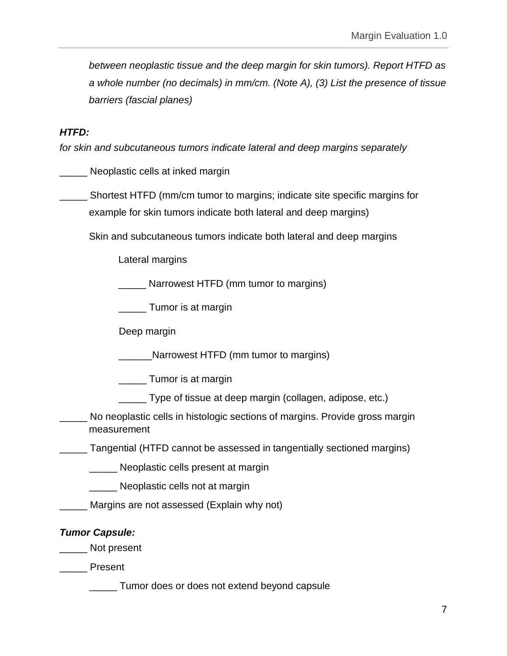*between neoplastic tissue and the deep margin for skin tumors). Report HTFD as a whole number (no decimals) in mm/cm. (Note A), (3) List the presence of tissue barriers (fascial planes)*

### <span id="page-6-0"></span>*HTFD:*

*for skin and subcutaneous tumors indicate lateral and deep margins separately*

\_\_\_\_\_ Neoplastic cells at inked margin

\_\_\_\_\_ Shortest HTFD (mm/cm tumor to margins; indicate site specific margins for example for skin tumors indicate both lateral and deep margins)

Skin and subcutaneous tumors indicate both lateral and deep margins

Lateral margins

Narrowest HTFD (mm tumor to margins)

**Tumor** is at margin

Deep margin

\_\_\_\_\_\_Narrowest HTFD (mm tumor to margins)

\_\_\_\_\_ Tumor is at margin

\_\_\_\_\_ Type of tissue at deep margin (collagen, adipose, etc.)

No neoplastic cells in histologic sections of margins. Provide gross margin measurement

\_\_\_\_\_ Tangential (HTFD cannot be assessed in tangentially sectioned margins)

\_\_\_\_\_ Neoplastic cells present at margin

**Neoplastic cells not at margin** 

Margins are not assessed (Explain why not)

#### <span id="page-6-1"></span>*Tumor Capsule:*

\_\_\_\_\_ Not present

\_\_\_\_\_ Present

\_\_\_\_\_ Tumor does or does not extend beyond capsule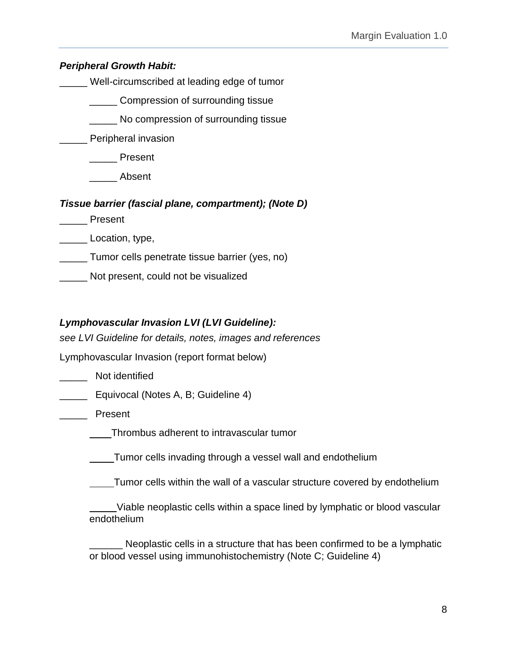<span id="page-7-0"></span>*Peripheral Growth Habit:*

Well-circumscribed at leading edge of tumor

\_\_\_\_\_ Compression of surrounding tissue

\_\_\_\_\_ No compression of surrounding tissue

**Example Peripheral invasion** 

\_\_\_\_\_ Present

\_\_\_\_\_ Absent

<span id="page-7-1"></span>*Tissue barrier (fascial plane, compartment); (Note D)* 

\_\_\_\_\_ Present

Location, type,

\_\_\_\_\_ Tumor cells penetrate tissue barrier (yes, no)

\_\_\_\_\_ Not present, could not be visualized

# <span id="page-7-2"></span>*Lymphovascular Invasion LVI (LVI Guideline):*

*see LVI Guideline for details, notes, images and references*

Lymphovascular Invasion (report format below)

\_\_\_\_\_ Not identified

**Equivocal (Notes A, B; Guideline 4)** 

\_\_\_\_\_ Present

Thrombus adherent to intravascular tumor

Tumor cells invading through a vessel wall and endothelium

Tumor cells within the wall of a vascular structure covered by endothelium

 Viable neoplastic cells within a space lined by lymphatic or blood vascular endothelium

Neoplastic cells in a structure that has been confirmed to be a lymphatic or blood vessel using immunohistochemistry (Note C; Guideline 4)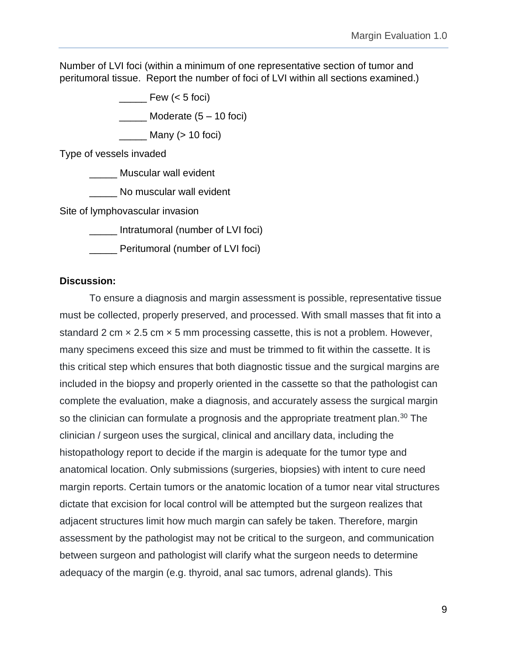Number of LVI foci (within a minimum of one representative section of tumor and peritumoral tissue. Report the number of foci of LVI within all sections examined.)

Few  $(< 5$  foci)

 $\frac{1}{2}$  Moderate  $(5 - 10$  foci)

 $\frac{1}{\sqrt{1-\frac{1}{\sqrt{1-\frac{1}{\sqrt{1-\frac{1}{\sqrt{1-\frac{1}{\sqrt{1-\frac{1}{\sqrt{1-\frac{1}{\sqrt{1-\frac{1}{\sqrt{1-\frac{1}{\sqrt{1-\frac{1}{\sqrt{1-\frac{1}{\sqrt{1-\frac{1}{\sqrt{1-\frac{1}{\sqrt{1-\frac{1}{\sqrt{1-\frac{1}{\sqrt{1-\frac{1}{\sqrt{1-\frac{1}{\sqrt{1-\frac{1}{\sqrt{1-\frac{1}{\sqrt{1-\frac{1}{\sqrt{1-\frac{1}{\sqrt{1-\frac{1}{\sqrt{1-\frac{1}{\sqrt{1-\frac{1}{\sqrt{1-\frac{1$ 

Type of vessels invaded

\_\_\_\_\_ Muscular wall evident

No muscular wall evident

Site of lymphovascular invasion

\_\_\_\_\_ Intratumoral (number of LVI foci)

\_\_\_\_\_ Peritumoral (number of LVI foci)

#### <span id="page-8-0"></span>**Discussion:**

To ensure a diagnosis and margin assessment is possible, representative tissue must be collected, properly preserved, and processed. With small masses that fit into a standard 2 cm  $\times$  2.5 cm  $\times$  5 mm processing cassette, this is not a problem. However, many specimens exceed this size and must be trimmed to fit within the cassette. It is this critical step which ensures that both diagnostic tissue and the surgical margins are included in the biopsy and properly oriented in the cassette so that the pathologist can complete the evaluation, make a diagnosis, and accurately assess the surgical margin so the clinician can formulate a prognosis and the appropriate treatment plan.<sup>30</sup> The clinician / surgeon uses the surgical, clinical and ancillary data, including the histopathology report to decide if the margin is adequate for the tumor type and anatomical location. Only submissions (surgeries, biopsies) with intent to cure need margin reports. Certain tumors or the anatomic location of a tumor near vital structures dictate that excision for local control will be attempted but the surgeon realizes that adjacent structures limit how much margin can safely be taken. Therefore, margin assessment by the pathologist may not be critical to the surgeon, and communication between surgeon and pathologist will clarify what the surgeon needs to determine adequacy of the margin (e.g. thyroid, anal sac tumors, adrenal glands). This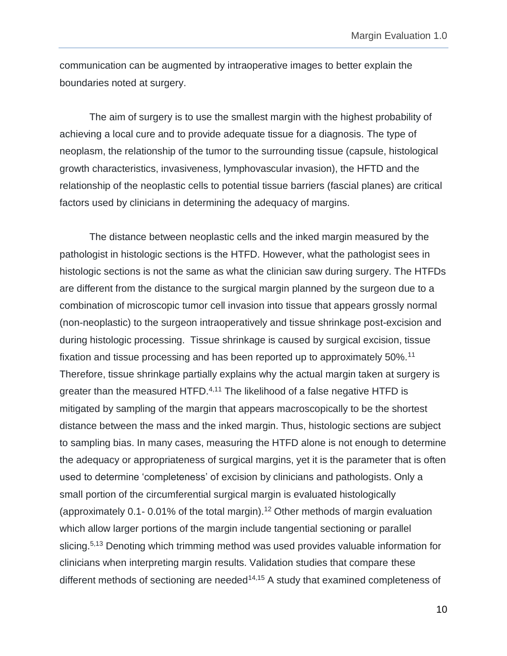communication can be augmented by intraoperative images to better explain the boundaries noted at surgery.

The aim of surgery is to use the smallest margin with the highest probability of achieving a local cure and to provide adequate tissue for a diagnosis. The type of neoplasm, the relationship of the tumor to the surrounding tissue (capsule, histological growth characteristics, invasiveness, lymphovascular invasion), the HFTD and the relationship of the neoplastic cells to potential tissue barriers (fascial planes) are critical factors used by clinicians in determining the adequacy of margins.

The distance between neoplastic cells and the inked margin measured by the pathologist in histologic sections is the HTFD. However, what the pathologist sees in histologic sections is not the same as what the clinician saw during surgery. The HTFDs are different from the distance to the surgical margin planned by the surgeon due to a combination of microscopic tumor cell invasion into tissue that appears grossly normal (non-neoplastic) to the surgeon intraoperatively and tissue shrinkage post-excision and during histologic processing. Tissue shrinkage is caused by surgical excision, tissue fixation and tissue processing and has been reported up to approximately 50%.<sup>11</sup> Therefore, tissue shrinkage partially explains why the actual margin taken at surgery is greater than the measured HTFD.<sup>4,11</sup> The likelihood of a false negative HTFD is mitigated by sampling of the margin that appears macroscopically to be the shortest distance between the mass and the inked margin. Thus, histologic sections are subject to sampling bias. In many cases, measuring the HTFD alone is not enough to determine the adequacy or appropriateness of surgical margins, yet it is the parameter that is often used to determine 'completeness' of excision by clinicians and pathologists. Only a small portion of the circumferential surgical margin is evaluated histologically (approximately  $0.1 - 0.01\%$  of the total margin).<sup>12</sup> Other methods of margin evaluation which allow larger portions of the margin include tangential sectioning or parallel slicing.<sup>5,13</sup> Denoting which trimming method was used provides valuable information for clinicians when interpreting margin results. Validation studies that compare these different methods of sectioning are needed<sup>14,15</sup> A study that examined completeness of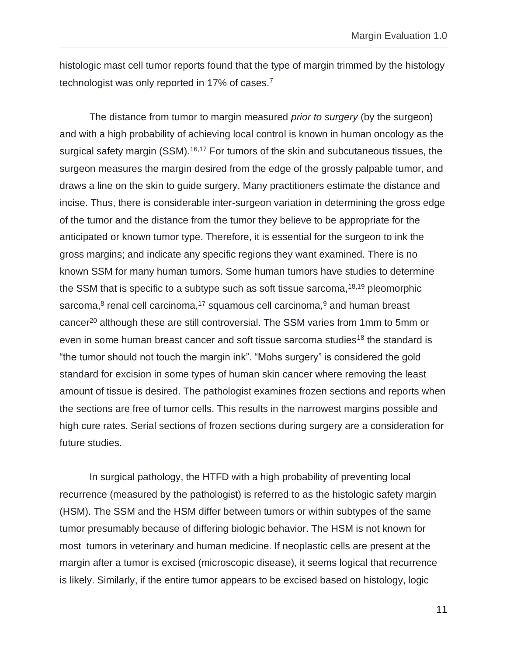histologic mast cell tumor reports found that the type of margin trimmed by the histology technologist was only reported in 17% of cases.<sup>7</sup>

The distance from tumor to margin measured *prior to surgery* (by the surgeon) and with a high probability of achieving local control is known in human oncology as the surgical safety margin (SSM).<sup>16,17</sup> For tumors of the skin and subcutaneous tissues, the surgeon measures the margin desired from the edge of the grossly palpable tumor, and draws a line on the skin to guide surgery. Many practitioners estimate the distance and incise. Thus, there is considerable inter-surgeon variation in determining the gross edge of the tumor and the distance from the tumor they believe to be appropriate for the anticipated or known tumor type. Therefore, it is essential for the surgeon to ink the gross margins; and indicate any specific regions they want examined. There is no known SSM for many human tumors. Some human tumors have studies to determine the SSM that is specific to a subtype such as soft tissue sarcoma,  $18,19$  pleomorphic sarcoma, $^8$  renal cell carcinoma, $^{17}$  squamous cell carcinoma, $^9$  and human breast cancer<sup>20</sup> although these are still controversial. The SSM varies from 1mm to 5mm or even in some human breast cancer and soft tissue sarcoma studies<sup>18</sup> the standard is "the tumor should not touch the margin ink". "Mohs surgery" is considered the gold standard for excision in some types of human skin cancer where removing the least amount of tissue is desired. The pathologist examines frozen sections and reports when the sections are free of tumor cells. This results in the narrowest margins possible and high cure rates. Serial sections of frozen sections during surgery are a consideration for future studies.

In surgical pathology, the HTFD with a high probability of preventing local recurrence (measured by the pathologist) is referred to as the histologic safety margin (HSM). The SSM and the HSM differ between tumors or within subtypes of the same tumor presumably because of differing biologic behavior. The HSM is not known for most tumors in veterinary and human medicine. If neoplastic cells are present at the margin after a tumor is excised (microscopic disease), it seems logical that recurrence is likely. Similarly, if the entire tumor appears to be excised based on histology, logic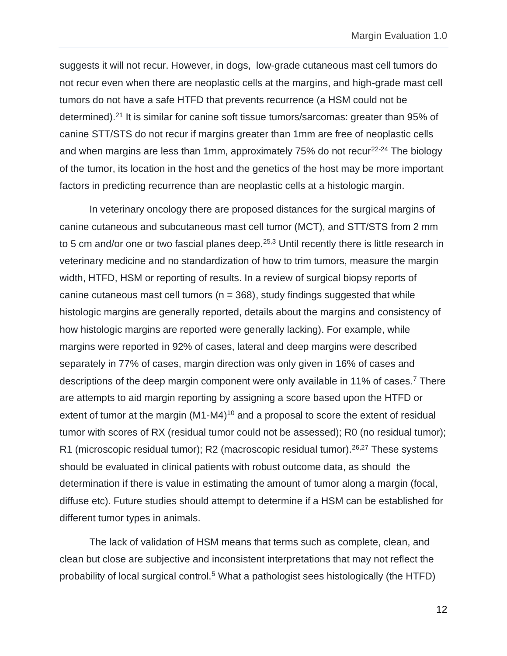suggests it will not recur. However, in dogs, low-grade cutaneous mast cell tumors do not recur even when there are neoplastic cells at the margins, and high-grade mast cell tumors do not have a safe HTFD that prevents recurrence (a HSM could not be determined).<sup>21</sup> It is similar for canine soft tissue tumors/sarcomas: greater than 95% of canine STT/STS do not recur if margins greater than 1mm are free of neoplastic cells and when margins are less than 1mm, approximately  $75%$  do not recur<sup>22-24</sup> The biology of the tumor, its location in the host and the genetics of the host may be more important factors in predicting recurrence than are neoplastic cells at a histologic margin.

In veterinary oncology there are proposed distances for the surgical margins of canine cutaneous and subcutaneous mast cell tumor (MCT), and STT/STS from 2 mm to 5 cm and/or one or two fascial planes deep.<sup>25,3</sup> Until recently there is little research in veterinary medicine and no standardization of how to trim tumors, measure the margin width, HTFD, HSM or reporting of results. In a review of surgical biopsy reports of canine cutaneous mast cell tumors ( $n = 368$ ), study findings suggested that while histologic margins are generally reported, details about the margins and consistency of how histologic margins are reported were generally lacking). For example, while margins were reported in 92% of cases, lateral and deep margins were described separately in 77% of cases, margin direction was only given in 16% of cases and descriptions of the deep margin component were only available in 11% of cases.<sup>7</sup> There are attempts to aid margin reporting by assigning a score based upon the HTFD or extent of tumor at the margin  $(M1-M4)^{10}$  and a proposal to score the extent of residual tumor with scores of RX (residual tumor could not be assessed); R0 (no residual tumor); R1 (microscopic residual tumor); R2 (macroscopic residual tumor).<sup>26,27</sup> These systems should be evaluated in clinical patients with robust outcome data, as should the determination if there is value in estimating the amount of tumor along a margin (focal, diffuse etc). Future studies should attempt to determine if a HSM can be established for different tumor types in animals.

The lack of validation of HSM means that terms such as complete, clean, and clean but close are subjective and inconsistent interpretations that may not reflect the probability of local surgical control.<sup>5</sup> What a pathologist sees histologically (the HTFD)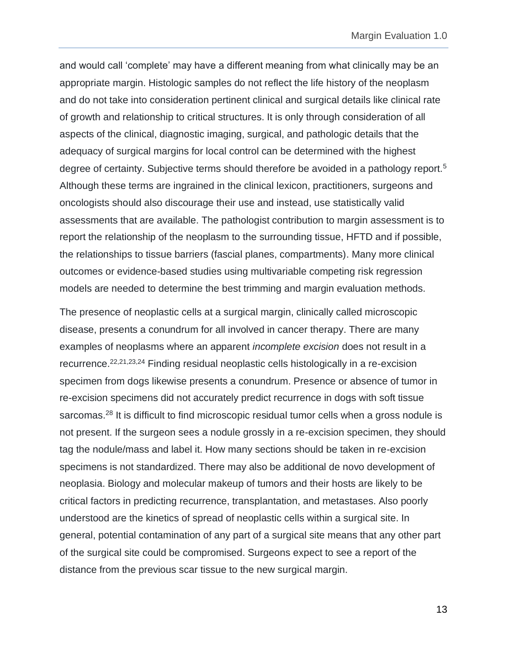and would call 'complete' may have a different meaning from what clinically may be an appropriate margin. Histologic samples do not reflect the life history of the neoplasm and do not take into consideration pertinent clinical and surgical details like clinical rate of growth and relationship to critical structures. It is only through consideration of all aspects of the clinical, diagnostic imaging, surgical, and pathologic details that the adequacy of surgical margins for local control can be determined with the highest degree of certainty. Subjective terms should therefore be avoided in a pathology report.<sup>5</sup> Although these terms are ingrained in the clinical lexicon, practitioners, surgeons and oncologists should also discourage their use and instead, use statistically valid assessments that are available. The pathologist contribution to margin assessment is to report the relationship of the neoplasm to the surrounding tissue, HFTD and if possible, the relationships to tissue barriers (fascial planes, compartments). Many more clinical outcomes or evidence-based studies using multivariable competing risk regression models are needed to determine the best trimming and margin evaluation methods.

The presence of neoplastic cells at a surgical margin, clinically called microscopic disease, presents a conundrum for all involved in cancer therapy. There are many examples of neoplasms where an apparent *incomplete excision* does not result in a recurrence.22,21,23,24 Finding residual neoplastic cells histologically in a re-excision specimen from dogs likewise presents a conundrum. Presence or absence of tumor in re-excision specimens did not accurately predict recurrence in dogs with soft tissue sarcomas.<sup>28</sup> It is difficult to find microscopic residual tumor cells when a gross nodule is not present. If the surgeon sees a nodule grossly in a re-excision specimen, they should tag the nodule/mass and label it. How many sections should be taken in re-excision specimens is not standardized. There may also be additional de novo development of neoplasia. Biology and molecular makeup of tumors and their hosts are likely to be critical factors in predicting recurrence, transplantation, and metastases. Also poorly understood are the kinetics of spread of neoplastic cells within a surgical site. In general, potential contamination of any part of a surgical site means that any other part of the surgical site could be compromised. Surgeons expect to see a report of the distance from the previous scar tissue to the new surgical margin.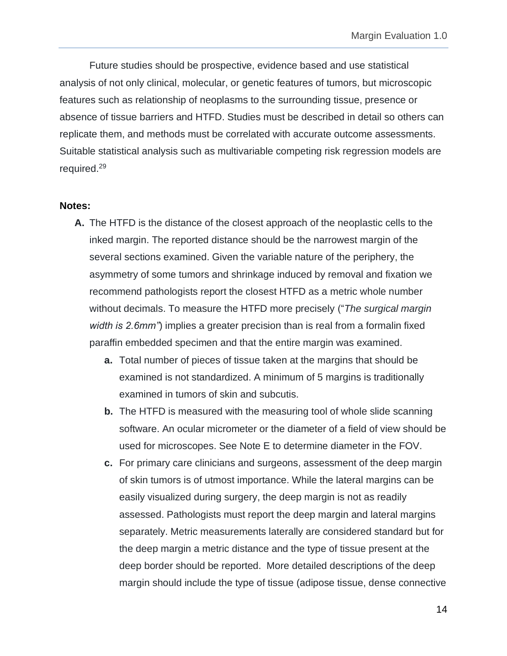Future studies should be prospective, evidence based and use statistical analysis of not only clinical, molecular, or genetic features of tumors, but microscopic features such as relationship of neoplasms to the surrounding tissue, presence or absence of tissue barriers and HTFD. Studies must be described in detail so others can replicate them, and methods must be correlated with accurate outcome assessments. Suitable statistical analysis such as multivariable competing risk regression models are required.<sup>29</sup>

#### <span id="page-13-0"></span>**Notes:**

- **A.** The HTFD is the distance of the closest approach of the neoplastic cells to the inked margin. The reported distance should be the narrowest margin of the several sections examined. Given the variable nature of the periphery, the asymmetry of some tumors and shrinkage induced by removal and fixation we recommend pathologists report the closest HTFD as a metric whole number without decimals. To measure the HTFD more precisely ("*The surgical margin width is 2.6mm"*) implies a greater precision than is real from a formalin fixed paraffin embedded specimen and that the entire margin was examined.
	- **a.** Total number of pieces of tissue taken at the margins that should be examined is not standardized. A minimum of 5 margins is traditionally examined in tumors of skin and subcutis.
	- **b.** The HTFD is measured with the measuring tool of whole slide scanning software. An ocular micrometer or the diameter of a field of view should be used for microscopes. See Note E to determine diameter in the FOV.
	- **c.** For primary care clinicians and surgeons, assessment of the deep margin of skin tumors is of utmost importance. While the lateral margins can be easily visualized during surgery, the deep margin is not as readily assessed. Pathologists must report the deep margin and lateral margins separately. Metric measurements laterally are considered standard but for the deep margin a metric distance and the type of tissue present at the deep border should be reported. More detailed descriptions of the deep margin should include the type of tissue (adipose tissue, dense connective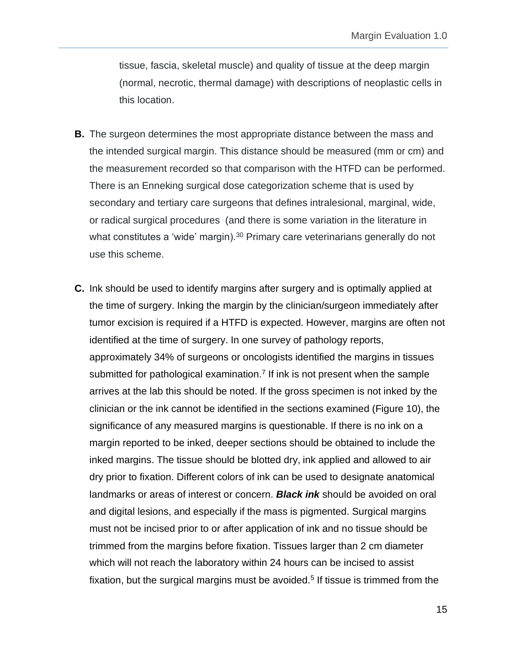tissue, fascia, skeletal muscle) and quality of tissue at the deep margin (normal, necrotic, thermal damage) with descriptions of neoplastic cells in this location.

- **B.** The surgeon determines the most appropriate distance between the mass and the intended surgical margin. This distance should be measured (mm or cm) and the measurement recorded so that comparison with the HTFD can be performed. There is an Enneking surgical dose categorization scheme that is used by secondary and tertiary care surgeons that defines intralesional, marginal, wide, or radical surgical procedures (and there is some variation in the literature in what constitutes a 'wide' margin).<sup>30</sup> Primary care veterinarians generally do not use this scheme.
- **C.** Ink should be used to identify margins after surgery and is optimally applied at the time of surgery. Inking the margin by the clinician/surgeon immediately after tumor excision is required if a HTFD is expected. However, margins are often not identified at the time of surgery. In one survey of pathology reports, approximately 34% of surgeons or oncologists identified the margins in tissues submitted for pathological examination.<sup>7</sup> If ink is not present when the sample arrives at the lab this should be noted. If the gross specimen is not inked by the clinician or the ink cannot be identified in the sections examined (Figure 10), the significance of any measured margins is questionable. If there is no ink on a margin reported to be inked, deeper sections should be obtained to include the inked margins. The tissue should be blotted dry, ink applied and allowed to air dry prior to fixation. Different colors of ink can be used to designate anatomical landmarks or areas of interest or concern. *Black ink* should be avoided on oral and digital lesions, and especially if the mass is pigmented. Surgical margins must not be incised prior to or after application of ink and no tissue should be trimmed from the margins before fixation. Tissues larger than 2 cm diameter which will not reach the laboratory within 24 hours can be incised to assist fixation, but the surgical margins must be avoided.<sup>5</sup> If tissue is trimmed from the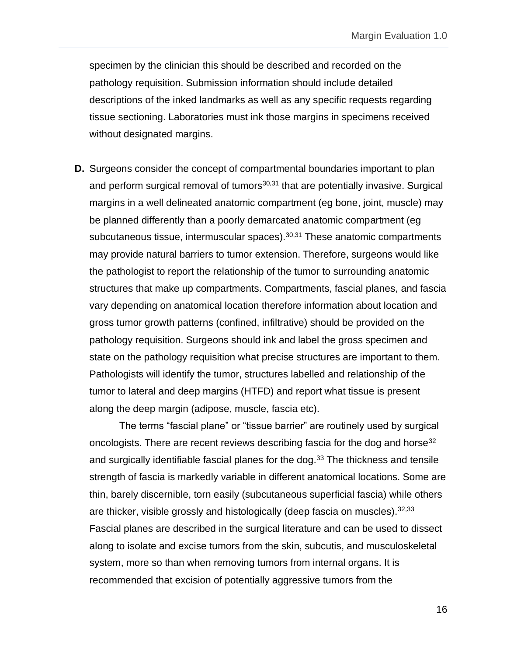specimen by the clinician this should be described and recorded on the pathology requisition. Submission information should include detailed descriptions of the inked landmarks as well as any specific requests regarding tissue sectioning. Laboratories must ink those margins in specimens received without designated margins.

**D.** Surgeons consider the concept of compartmental boundaries important to plan and perform surgical removal of tumors $30,31$  that are potentially invasive. Surgical margins in a well delineated anatomic compartment (eg bone, joint, muscle) may be planned differently than a poorly demarcated anatomic compartment (eg subcutaneous tissue, intermuscular spaces).  $30,31$  These anatomic compartments may provide natural barriers to tumor extension. Therefore, surgeons would like the pathologist to report the relationship of the tumor to surrounding anatomic structures that make up compartments. Compartments, fascial planes, and fascia vary depending on anatomical location therefore information about location and gross tumor growth patterns (confined, infiltrative) should be provided on the pathology requisition. Surgeons should ink and label the gross specimen and state on the pathology requisition what precise structures are important to them. Pathologists will identify the tumor, structures labelled and relationship of the tumor to lateral and deep margins (HTFD) and report what tissue is present along the deep margin (adipose, muscle, fascia etc).

The terms "fascial plane" or "tissue barrier" are routinely used by surgical oncologists. There are recent reviews describing fascia for the dog and horse<sup>32</sup> and surgically identifiable fascial planes for the dog.<sup>33</sup> The thickness and tensile strength of fascia is markedly variable in different anatomical locations. Some are thin, barely discernible, torn easily (subcutaneous superficial fascia) while others are thicker, visible grossly and histologically (deep fascia on muscles).  $32,33$ Fascial planes are described in the surgical literature and can be used to dissect along to isolate and excise tumors from the skin, subcutis, and musculoskeletal system, more so than when removing tumors from internal organs. It is recommended that excision of potentially aggressive tumors from the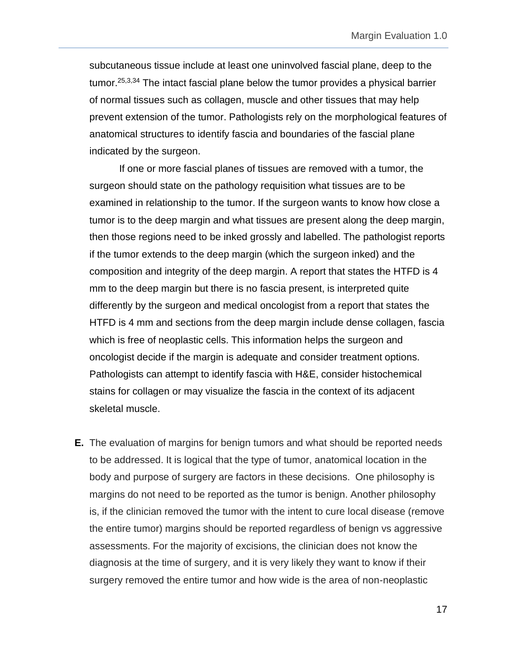subcutaneous tissue include at least one uninvolved fascial plane, deep to the tumor.25,3,34 The intact fascial plane below the tumor provides a physical barrier of normal tissues such as collagen, muscle and other tissues that may help prevent extension of the tumor. Pathologists rely on the morphological features of anatomical structures to identify fascia and boundaries of the fascial plane indicated by the surgeon.

If one or more fascial planes of tissues are removed with a tumor, the surgeon should state on the pathology requisition what tissues are to be examined in relationship to the tumor. If the surgeon wants to know how close a tumor is to the deep margin and what tissues are present along the deep margin, then those regions need to be inked grossly and labelled. The pathologist reports if the tumor extends to the deep margin (which the surgeon inked) and the composition and integrity of the deep margin. A report that states the HTFD is 4 mm to the deep margin but there is no fascia present, is interpreted quite differently by the surgeon and medical oncologist from a report that states the HTFD is 4 mm and sections from the deep margin include dense collagen, fascia which is free of neoplastic cells. This information helps the surgeon and oncologist decide if the margin is adequate and consider treatment options. Pathologists can attempt to identify fascia with H&E, consider histochemical stains for collagen or may visualize the fascia in the context of its adjacent skeletal muscle.

**E.** The evaluation of margins for benign tumors and what should be reported needs to be addressed. It is logical that the type of tumor, anatomical location in the body and purpose of surgery are factors in these decisions. One philosophy is margins do not need to be reported as the tumor is benign. Another philosophy is, if the clinician removed the tumor with the intent to cure local disease (remove the entire tumor) margins should be reported regardless of benign vs aggressive assessments. For the majority of excisions, the clinician does not know the diagnosis at the time of surgery, and it is very likely they want to know if their surgery removed the entire tumor and how wide is the area of non-neoplastic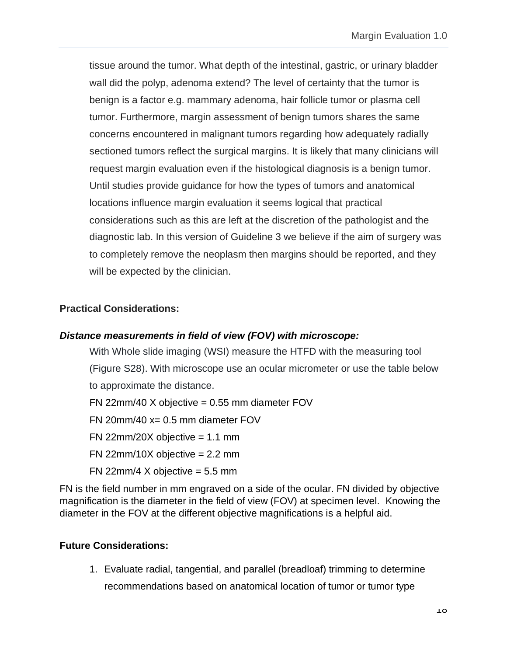tissue around the tumor. What depth of the intestinal, gastric, or urinary bladder wall did the polyp, adenoma extend? The level of certainty that the tumor is benign is a factor e.g. mammary adenoma, hair follicle tumor or plasma cell tumor. Furthermore, margin assessment of benign tumors shares the same concerns encountered in malignant tumors regarding how adequately radially sectioned tumors reflect the surgical margins. It is likely that many clinicians will request margin evaluation even if the histological diagnosis is a benign tumor. Until studies provide guidance for how the types of tumors and anatomical locations influence margin evaluation it seems logical that practical considerations such as this are left at the discretion of the pathologist and the diagnostic lab. In this version of Guideline 3 we believe if the aim of surgery was to completely remove the neoplasm then margins should be reported, and they will be expected by the clinician.

### <span id="page-17-0"></span>**Practical Considerations:**

### <span id="page-17-1"></span>*Distance measurements in field of view (FOV) with microscope:*

With Whole slide imaging (WSI) measure the HTFD with the measuring tool (Figure S28). With microscope use an ocular micrometer or use the table below to approximate the distance.

 $FN$  22mm/40 X objective = 0.55 mm diameter FOV

 $FN$  20mm/40  $x = 0.5$  mm diameter FOV

 $FN$  22mm/20X objective = 1.1 mm

 $FN$  22mm/10X objective = 2.2 mm

FN 22 $mm/4$  X objective = 5.5 mm

FN is the field number in mm engraved on a side of the ocular. FN divided by objective magnification is the diameter in the field of view (FOV) at specimen level. Knowing the diameter in the FOV at the different objective magnifications is a helpful aid.

### <span id="page-17-2"></span>**Future Considerations:**

1. Evaluate radial, tangential, and parallel (breadloaf) trimming to determine recommendations based on anatomical location of tumor or tumor type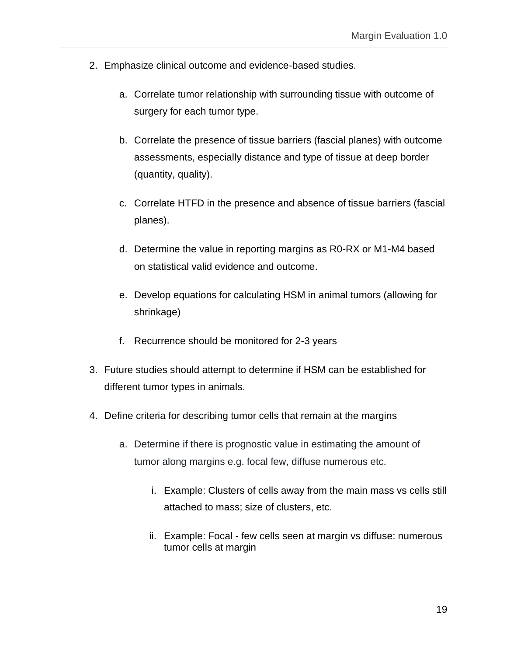- 2. Emphasize clinical outcome and evidence-based studies.
	- a. Correlate tumor relationship with surrounding tissue with outcome of surgery for each tumor type.
	- b. Correlate the presence of tissue barriers (fascial planes) with outcome assessments, especially distance and type of tissue at deep border (quantity, quality).
	- c. Correlate HTFD in the presence and absence of tissue barriers (fascial planes).
	- d. Determine the value in reporting margins as R0-RX or M1-M4 based on statistical valid evidence and outcome.
	- e. Develop equations for calculating HSM in animal tumors (allowing for shrinkage)
	- f. Recurrence should be monitored for 2-3 years
- 3. Future studies should attempt to determine if HSM can be established for different tumor types in animals.
- 4. Define criteria for describing tumor cells that remain at the margins
	- a. Determine if there is prognostic value in estimating the amount of tumor along margins e.g. focal few, diffuse numerous etc.
		- i. Example: Clusters of cells away from the main mass vs cells still attached to mass; size of clusters, etc.
		- ii. Example: Focal few cells seen at margin vs diffuse: numerous tumor cells at margin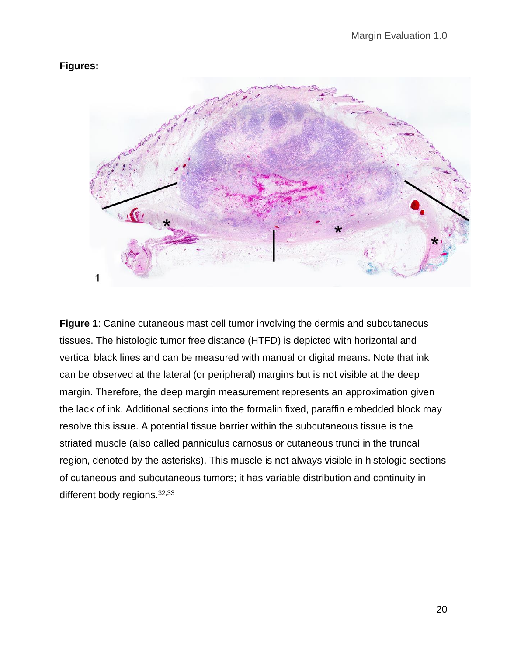### <span id="page-19-0"></span>**Figures:**



**Figure 1**: Canine cutaneous mast cell tumor involving the dermis and subcutaneous tissues. The histologic tumor free distance (HTFD) is depicted with horizontal and vertical black lines and can be measured with manual or digital means. Note that ink can be observed at the lateral (or peripheral) margins but is not visible at the deep margin. Therefore, the deep margin measurement represents an approximation given the lack of ink. Additional sections into the formalin fixed, paraffin embedded block may resolve this issue. A potential tissue barrier within the subcutaneous tissue is the striated muscle (also called panniculus carnosus or cutaneous trunci in the truncal region, denoted by the asterisks). This muscle is not always visible in histologic sections of cutaneous and subcutaneous tumors; it has variable distribution and continuity in different body regions. 32,33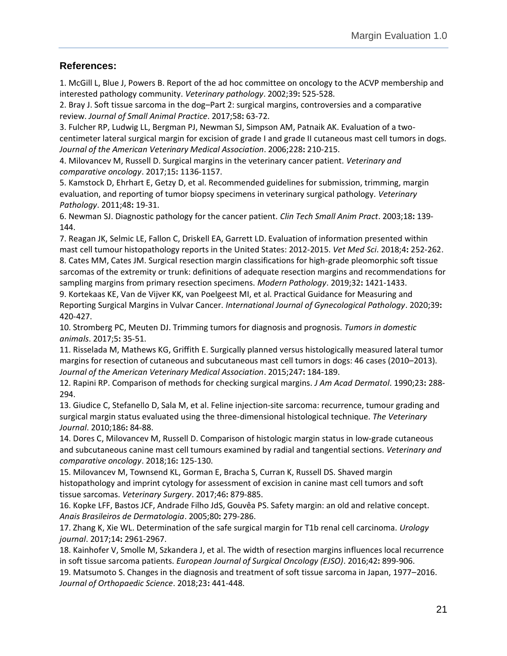### <span id="page-20-0"></span>**References:**

1. McGill L, Blue J, Powers B. Report of the ad hoc committee on oncology to the ACVP membership and interested pathology community. *Veterinary pathology*. 2002;39**:** 525-528.

2. Bray J. Soft tissue sarcoma in the dog–Part 2: surgical margins, controversies and a comparative review. *Journal of Small Animal Practice*. 2017;58**:** 63-72.

3. Fulcher RP, Ludwig LL, Bergman PJ, Newman SJ, Simpson AM, Patnaik AK. Evaluation of a twocentimeter lateral surgical margin for excision of grade I and grade II cutaneous mast cell tumors in dogs. *Journal of the American Veterinary Medical Association*. 2006;228**:** 210-215.

4. Milovancev M, Russell D. Surgical margins in the veterinary cancer patient. *Veterinary and comparative oncology*. 2017;15**:** 1136-1157.

5. Kamstock D, Ehrhart E, Getzy D, et al. Recommended guidelines for submission, trimming, margin evaluation, and reporting of tumor biopsy specimens in veterinary surgical pathology. *Veterinary Pathology*. 2011;48**:** 19-31.

6. Newman SJ. Diagnostic pathology for the cancer patient. *Clin Tech Small Anim Pract*. 2003;18**:** 139- 144.

7. Reagan JK, Selmic LE, Fallon C, Driskell EA, Garrett LD. Evaluation of information presented within mast cell tumour histopathology reports in the United States: 2012-2015. *Vet Med Sci*. 2018;4**:** 252-262. 8. Cates MM, Cates JM. Surgical resection margin classifications for high-grade pleomorphic soft tissue sarcomas of the extremity or trunk: definitions of adequate resection margins and recommendations for sampling margins from primary resection specimens. *Modern Pathology*. 2019;32**:** 1421-1433.

9. Kortekaas KE, Van de Vijver KK, van Poelgeest MI, et al. Practical Guidance for Measuring and Reporting Surgical Margins in Vulvar Cancer. *International Journal of Gynecological Pathology*. 2020;39**:**  420-427.

10. Stromberg PC, Meuten DJ. Trimming tumors for diagnosis and prognosis. *Tumors in domestic animals*. 2017;5**:** 35-51.

11. Risselada M, Mathews KG, Griffith E. Surgically planned versus histologically measured lateral tumor margins for resection of cutaneous and subcutaneous mast cell tumors in dogs: 46 cases (2010–2013). *Journal of the American Veterinary Medical Association*. 2015;247**:** 184-189.

12. Rapini RP. Comparison of methods for checking surgical margins. *J Am Acad Dermatol*. 1990;23**:** 288- 294.

13. Giudice C, Stefanello D, Sala M, et al. Feline injection-site sarcoma: recurrence, tumour grading and surgical margin status evaluated using the three-dimensional histological technique. *The Veterinary Journal*. 2010;186**:** 84-88.

14. Dores C, Milovancev M, Russell D. Comparison of histologic margin status in low‐grade cutaneous and subcutaneous canine mast cell tumours examined by radial and tangential sections. *Veterinary and comparative oncology*. 2018;16**:** 125-130.

15. Milovancev M, Townsend KL, Gorman E, Bracha S, Curran K, Russell DS. Shaved margin histopathology and imprint cytology for assessment of excision in canine mast cell tumors and soft tissue sarcomas. *Veterinary Surgery*. 2017;46**:** 879-885.

16. Kopke LFF, Bastos JCF, Andrade Filho JdS, Gouvêa PS. Safety margin: an old and relative concept. *Anais Brasileiros de Dermatologia*. 2005;80**:** 279-286.

17. Zhang K, Xie WL. Determination of the safe surgical margin for T1b renal cell carcinoma. *Urology journal*. 2017;14**:** 2961-2967.

18. Kainhofer V, Smolle M, Szkandera J, et al. The width of resection margins influences local recurrence in soft tissue sarcoma patients. *European Journal of Surgical Oncology (EJSO)*. 2016;42**:** 899-906.

19. Matsumoto S. Changes in the diagnosis and treatment of soft tissue sarcoma in Japan, 1977–2016. *Journal of Orthopaedic Science*. 2018;23**:** 441-448.